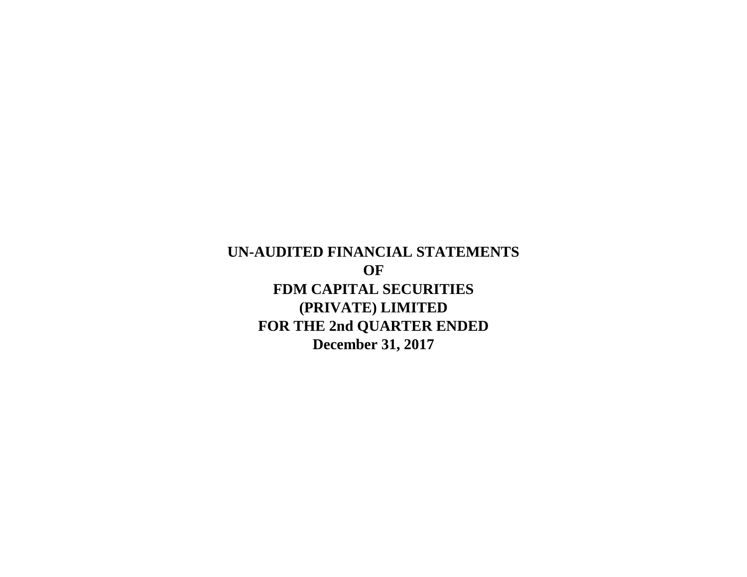**December 31, 2017 UN-AUDITED FINANCIAL STATEMENTS OF FDM CAPITAL SECURITIES (PRIVATE) LIMITED FOR THE 2nd QUARTER ENDED**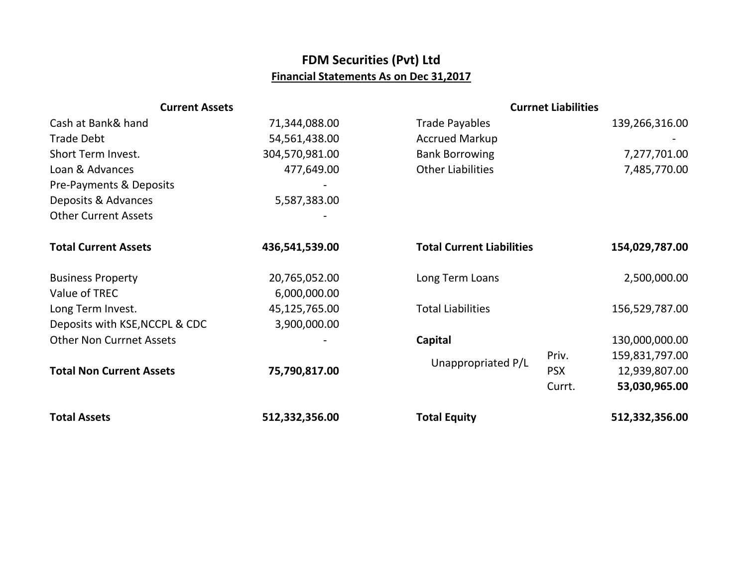## **FDM Securities (Pvt) Ltd Financial Statements As on Dec 31,2017**

| <b>Current Assets</b>           |                | <b>Currnet Liabilities</b>       |            |                |
|---------------------------------|----------------|----------------------------------|------------|----------------|
| Cash at Bank& hand              | 71,344,088.00  | <b>Trade Payables</b>            |            | 139,266,316.00 |
| <b>Trade Debt</b>               | 54,561,438.00  | <b>Accrued Markup</b>            |            |                |
| Short Term Invest.              | 304,570,981.00 | <b>Bank Borrowing</b>            |            | 7,277,701.00   |
| Loan & Advances                 | 477,649.00     | <b>Other Liabilities</b>         |            | 7,485,770.00   |
| Pre-Payments & Deposits         |                |                                  |            |                |
| Deposits & Advances             | 5,587,383.00   |                                  |            |                |
| <b>Other Current Assets</b>     |                |                                  |            |                |
|                                 |                |                                  |            |                |
| <b>Total Current Assets</b>     | 436,541,539.00 | <b>Total Current Liabilities</b> |            | 154,029,787.00 |
|                                 |                |                                  |            |                |
| <b>Business Property</b>        | 20,765,052.00  | Long Term Loans                  |            | 2,500,000.00   |
| Value of TREC                   | 6,000,000.00   |                                  |            |                |
| Long Term Invest.               | 45,125,765.00  | <b>Total Liabilities</b>         |            | 156,529,787.00 |
| Deposits with KSE, NCCPL & CDC  | 3,900,000.00   |                                  |            |                |
| <b>Other Non Currnet Assets</b> |                | Capital                          |            | 130,000,000.00 |
|                                 |                | Unappropriated P/L               | Priv.      | 159,831,797.00 |
| <b>Total Non Current Assets</b> | 75,790,817.00  |                                  | <b>PSX</b> | 12,939,807.00  |
|                                 |                |                                  | Currt.     | 53,030,965.00  |
| <b>Total Assets</b>             | 512,332,356.00 | <b>Total Equity</b>              |            | 512,332,356.00 |
|                                 |                |                                  |            |                |